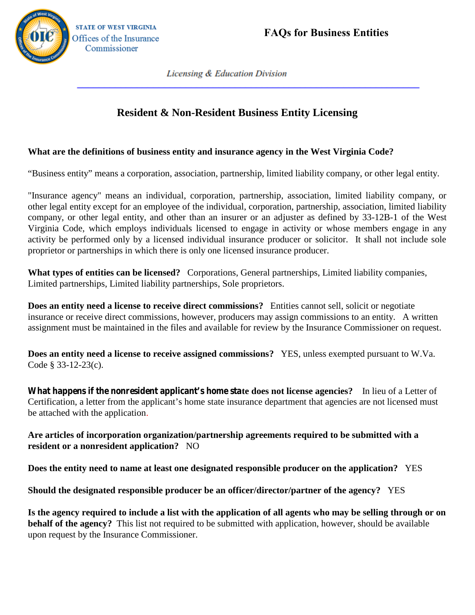

## Expresses *Resident & Non-Resident Business Entity Licensing*

## **What are the definitions of business entity and insurance agency in the West Virginia Code?**

"Business entity" means a corporation, association, partnership, limited liability company, or other legal entity.

"Insurance agency" means an individual, corporation, partnership, association, limited liability company, or other legal entity except for an employee of the individual, corporation, partnership, association, limited liability "Business entity" means a corporation, association, partnership, limited liability company, or other legal entity.<br>"Insurance agency" means an individual, corporation, partnership, association, limited liability company, o "Business entity" means a corporation, association, partnership, limited liability company, or other legal entity except for an employee of the individual, corporation, partnership, association, limited liability company, proprietor or partnerships in which there is only one licensed insurance producer.

What types of entities can be licensed? Corporations, General partnerships, Limited liability companies, Limited partnerships, Limited liability partnerships, Sole proprietors.

**Does an entity need a license to receive direct commissions?** Entities cannot sell, solicit or negotiate insurance or receive direct commissions, however, producers may assign commissions to an entity. A written assignment must be maintained in the files and available for review by the Insurance Commissioner on request.

**Does an entity need a license to receive assigned commissions?** YES, unless exempted pursuant to W.Va. Code § 33-12-23(c).

**What happens if the nonresident applicant's home state does not license agencies?** In lieu of a Letter of Certification, a letter from the applicant's home state insurance department that agencies are not licensed must be attached with the application.

**Are articles of incorporation organization/partnership agreements required to be submitted with a resident or a nonresident application?** NO

**Does the entity need to name at least one designated responsible producer on the application?** YES

**Should the designated responsible producer be an officer/director/partner of the agency?** YES

**Is the agency required to include a list with the application of all agents who may be selling through or on behalf of the agency?** This list not required to be submitted with application, however, should be available upon request by the Insurance Commissioner.